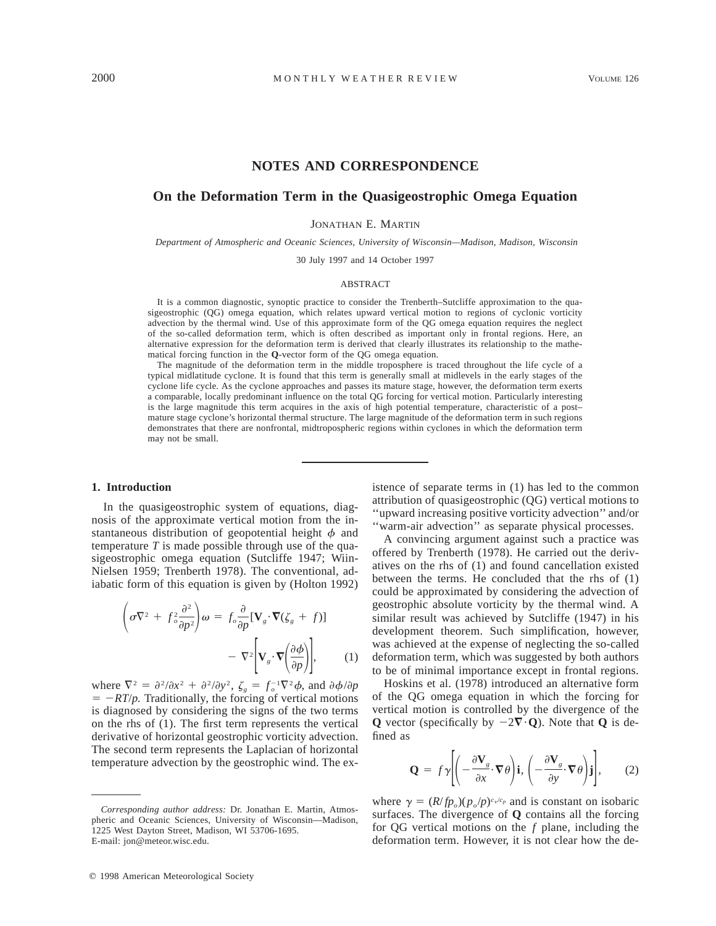# **NOTES AND CORRESPONDENCE**

## **On the Deformation Term in the Quasigeostrophic Omega Equation**

JONATHAN E. MARTIN

*Department of Atmospheric and Oceanic Sciences, University of Wisconsin—Madison, Madison, Wisconsin*

30 July 1997 and 14 October 1997

#### ABSTRACT

It is a common diagnostic, synoptic practice to consider the Trenberth–Sutcliffe approximation to the quasigeostrophic (QG) omega equation, which relates upward vertical motion to regions of cyclonic vorticity advection by the thermal wind. Use of this approximate form of the QG omega equation requires the neglect of the so-called deformation term, which is often described as important only in frontal regions. Here, an alternative expression for the deformation term is derived that clearly illustrates its relationship to the mathematical forcing function in the **Q**-vector form of the QG omega equation.

The magnitude of the deformation term in the middle troposphere is traced throughout the life cycle of a typical midlatitude cyclone. It is found that this term is generally small at midlevels in the early stages of the cyclone life cycle. As the cyclone approaches and passes its mature stage, however, the deformation term exerts a comparable, locally predominant influence on the total QG forcing for vertical motion. Particularly interesting is the large magnitude this term acquires in the axis of high potential temperature, characteristic of a post– mature stage cyclone's horizontal thermal structure. The large magnitude of the deformation term in such regions demonstrates that there are nonfrontal, midtropospheric regions within cyclones in which the deformation term may not be small.

#### **1. Introduction**

In the quasigeostrophic system of equations, diagnosis of the approximate vertical motion from the instantaneous distribution of geopotential height  $\phi$  and temperature *T* is made possible through use of the quasigeostrophic omega equation (Sutcliffe 1947; Wiin-Nielsen 1959; Trenberth 1978). The conventional, adiabatic form of this equation is given by (Holton 1992)

$$
\left(\sigma \nabla^2 + f_o^2 \frac{\partial^2}{\partial p^2}\right) \omega = f_o \frac{\partial}{\partial p} [\mathbf{V}_g \cdot \nabla (\zeta_g + f)]
$$

$$
- \nabla^2 \left[\mathbf{V}_g \cdot \nabla \left(\frac{\partial \phi}{\partial p}\right)\right], \qquad (1)
$$

where  $\nabla^2 = \frac{\partial^2}{\partial x^2} + \frac{\partial^2}{\partial y^2}$ ,  $\zeta_g = f_o^{-1} \nabla^2 \phi$ , and  $\frac{\partial \phi}{\partial p}$  $= -RT/p$ . Traditionally, the forcing of vertical motions is diagnosed by considering the signs of the two terms on the rhs of (1). The first term represents the vertical derivative of horizontal geostrophic vorticity advection. The second term represents the Laplacian of horizontal temperature advection by the geostrophic wind. The existence of separate terms in (1) has led to the common attribution of quasigeostrophic (QG) vertical motions to ''upward increasing positive vorticity advection'' and/or ''warm-air advection'' as separate physical processes.

A convincing argument against such a practice was offered by Trenberth (1978). He carried out the derivatives on the rhs of (1) and found cancellation existed between the terms. He concluded that the rhs of (1) could be approximated by considering the advection of geostrophic absolute vorticity by the thermal wind. A similar result was achieved by Sutcliffe (1947) in his development theorem. Such simplification, however, was achieved at the expense of neglecting the so-called deformation term, which was suggested by both authors to be of minimal importance except in frontal regions.

Hoskins et al. (1978) introduced an alternative form of the QG omega equation in which the forcing for vertical motion is controlled by the divergence of the **Q** vector (specifically by  $-2\nabla \cdot \mathbf{Q}$ ). Note that **Q** is defined as

$$
\mathbf{Q} = f\gamma \left[ \left( -\frac{\partial \mathbf{V}_s}{\partial x} \cdot \nabla \theta \right) \mathbf{i}, \left( -\frac{\partial \mathbf{V}_s}{\partial y} \cdot \nabla \theta \right) \mathbf{j} \right], \qquad (2)
$$

where  $\gamma = (R/fp_0)(p_0/p)^{c_v/c_p}$  and is constant on isobaric surfaces. The divergence of **Q** contains all the forcing for QG vertical motions on the *f* plane, including the deformation term. However, it is not clear how the de-

*Corresponding author address:* Dr. Jonathan E. Martin, Atmospheric and Oceanic Sciences, University of Wisconsin—Madison, 1225 West Dayton Street, Madison, WI 53706-1695. E-mail: jon@meteor.wisc.edu.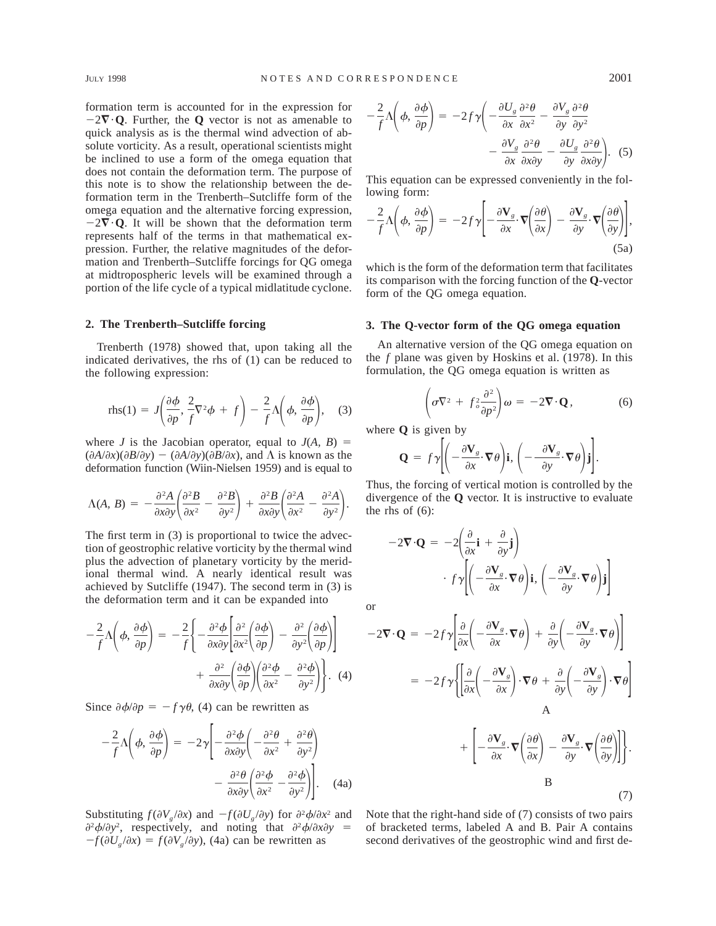formation term is accounted for in the expression for  $-2\nabla \cdot \mathbf{Q}$ . Further, the **Q** vector is not as amenable to quick analysis as is the thermal wind advection of absolute vorticity. As a result, operational scientists might be inclined to use a form of the omega equation that does not contain the deformation term. The purpose of this note is to show the relationship between the deformation term in the Trenberth–Sutcliffe form of the omega equation and the alternative forcing expression,  $-2\nabla \cdot \mathbf{Q}$ . It will be shown that the deformation term represents half of the terms in that mathematical expression. Further, the relative magnitudes of the deformation and Trenberth–Sutcliffe forcings for QG omega at midtropospheric levels will be examined through a portion of the life cycle of a typical midlatitude cyclone.

#### **2. The Trenberth–Sutcliffe forcing**

Trenberth (1978) showed that, upon taking all the indicated derivatives, the rhs of (1) can be reduced to the following expression:

$$
\text{rhs}(1) = J\left(\frac{\partial \phi}{\partial p}, \frac{2}{f}\nabla^2 \phi + f\right) - \frac{2}{f}\Lambda\left(\phi, \frac{\partial \phi}{\partial p}\right), \quad (3)
$$

where *J* is the Jacobian operator, equal to  $J(A, B) =$  $(\partial A/\partial x)(\partial B/\partial y) - (\partial A/\partial y)(\partial B/\partial x)$ , and  $\Lambda$  is known as the deformation function (Wiin-Nielsen 1959) and is equal to

$$
\Lambda(A, B) = -\frac{\partial^2 A}{\partial x \partial y} \left( \frac{\partial^2 B}{\partial x^2} - \frac{\partial^2 B}{\partial y^2} \right) + \frac{\partial^2 B}{\partial x \partial y} \left( \frac{\partial^2 A}{\partial x^2} - \frac{\partial^2 A}{\partial y^2} \right).
$$

The first term in (3) is proportional to twice the advection of geostrophic relative vorticity by the thermal wind plus the advection of planetary vorticity by the meridional thermal wind. A nearly identical result was achieved by Sutcliffe (1947). The second term in (3) is the deformation term and it can be expanded into

$$
-\frac{2}{f}\Lambda\left(\phi, \frac{\partial\phi}{\partial p}\right) = -\frac{2}{f}\left\{-\frac{\partial^2\phi}{\partial x\partial y}\left[\frac{\partial^2}{\partial x^2}\left(\frac{\partial\phi}{\partial p}\right) - \frac{\partial^2}{\partial y^2}\left(\frac{\partial\phi}{\partial p}\right)\right] + \frac{\partial^2}{\partial x\partial y}\left(\frac{\partial\phi}{\partial p}\right)\left(\frac{\partial^2\phi}{\partial x^2} - \frac{\partial^2\phi}{\partial y^2}\right)\right\}.
$$
 (4)

Since  $\partial \phi / \partial p = -f \gamma \theta$ , (4) can be rewritten as

$$
-\frac{2}{f}\Lambda\left(\phi, \frac{\partial\phi}{\partial p}\right) = -2\gamma \left[ -\frac{\partial^2\phi}{\partial x\partial y} \left( -\frac{\partial^2\theta}{\partial x^2} + \frac{\partial^2\theta}{\partial y^2} \right) -\frac{\partial^2\theta}{\partial x\partial y} \left( \frac{\partial^2\phi}{\partial x^2} - \frac{\partial^2\phi}{\partial y^2} \right) \right].
$$
 (4a)

Substituting  $f(\partial V_g / \partial x)$  and  $-f(\partial U_g / \partial y)$  for  $\partial^2 \phi / \partial x^2$  and  $\frac{\partial^2 \phi}{\partial y^2}$ , respectively, and noting that  $\frac{\partial^2 \phi}{\partial x \partial y}$  =  $-f(\partial U_g/\partial x) = f(\partial V_g/\partial y)$ , (4a) can be rewritten as

$$
-\frac{2}{f}\Lambda\left(\phi, \frac{\partial\phi}{\partial p}\right) = -2f\gamma\left(-\frac{\partial U_s}{\partial x}\frac{\partial^2\theta}{\partial x^2} - \frac{\partial V_s}{\partial y}\frac{\partial^2\theta}{\partial y^2} - \frac{\partial V_s}{\partial x}\frac{\partial^2\theta}{\partial x\partial y} - \frac{\partial U_s}{\partial x}\frac{\partial^2\theta}{\partial x\partial y}\right).
$$
 (5)

This equation can be expressed conveniently in the following form:

$$
-\frac{2}{f}\Lambda\left(\phi,\frac{\partial\phi}{\partial p}\right) = -2f\gamma\left[-\frac{\partial\mathbf{V}_g}{\partial x}\cdot\boldsymbol{\nabla}\left(\frac{\partial\theta}{\partial x}\right) - \frac{\partial\mathbf{V}_g}{\partial y}\cdot\boldsymbol{\nabla}\left(\frac{\partial\theta}{\partial y}\right)\right],\tag{5a}
$$

which is the form of the deformation term that facilitates its comparison with the forcing function of the **Q**-vector form of the QG omega equation.

#### **3. The Q-vector form of the QG omega equation**

An alternative version of the QG omega equation on the *f* plane was given by Hoskins et al. (1978). In this formulation, the QG omega equation is written as

$$
\left(\sigma \nabla^2 + f^2 \frac{\partial^2}{\partial p^2}\right) \omega = -2 \nabla \cdot \mathbf{Q},\tag{6}
$$

where **Q** is given by

$$
\mathbf{Q} = f\gamma \Bigg[ \Bigg( -\frac{\partial \mathbf{V}_g}{\partial x} \cdot \nabla \theta \Bigg) \mathbf{i}, \Bigg( -\frac{\partial \mathbf{V}_g}{\partial y} \cdot \nabla \theta \Bigg) \mathbf{j} \Bigg].
$$

Thus, the forcing of vertical motion is controlled by the divergence of the **Q** vector. It is instructive to evaluate the rhs of  $(6)$ :

$$
-2\mathbf{\nabla}\cdot\mathbf{Q} = -2\left(\frac{\partial}{\partial x}\mathbf{i} + \frac{\partial}{\partial y}\mathbf{j}\right)
$$

$$
\cdot f\gamma \left[\left(-\frac{\partial \mathbf{V}_g}{\partial x}\cdot\nabla\theta\right)\mathbf{i}, \left(-\frac{\partial \mathbf{V}_g}{\partial y}\cdot\nabla\theta\right)\mathbf{j}\right]
$$

or

$$
-2\mathbf{\nabla} \cdot \mathbf{Q} = -2f\gamma \left[ \frac{\partial}{\partial x} \left( -\frac{\partial \mathbf{V}_s}{\partial x} \cdot \nabla \theta \right) + \frac{\partial}{\partial y} \left( -\frac{\partial \mathbf{V}_s}{\partial y} \cdot \nabla \theta \right) \right]
$$

$$
= -2f\gamma \left\{ \left[ \frac{\partial}{\partial x} \left( -\frac{\partial \mathbf{V}_s}{\partial x} \right) \cdot \nabla \theta + \frac{\partial}{\partial y} \left( -\frac{\partial \mathbf{V}_s}{\partial y} \right) \cdot \nabla \theta \right] \right\}
$$

$$
+ \left[ -\frac{\partial \mathbf{V}_s}{\partial x} \cdot \nabla \left( \frac{\partial \theta}{\partial x} \right) - \frac{\partial \mathbf{V}_s}{\partial y} \cdot \nabla \left( \frac{\partial \theta}{\partial y} \right) \right] \right].
$$
  
B (7)

Note that the right-hand side of (7) consists of two pairs of bracketed terms, labeled A and B. Pair A contains second derivatives of the geostrophic wind and first de-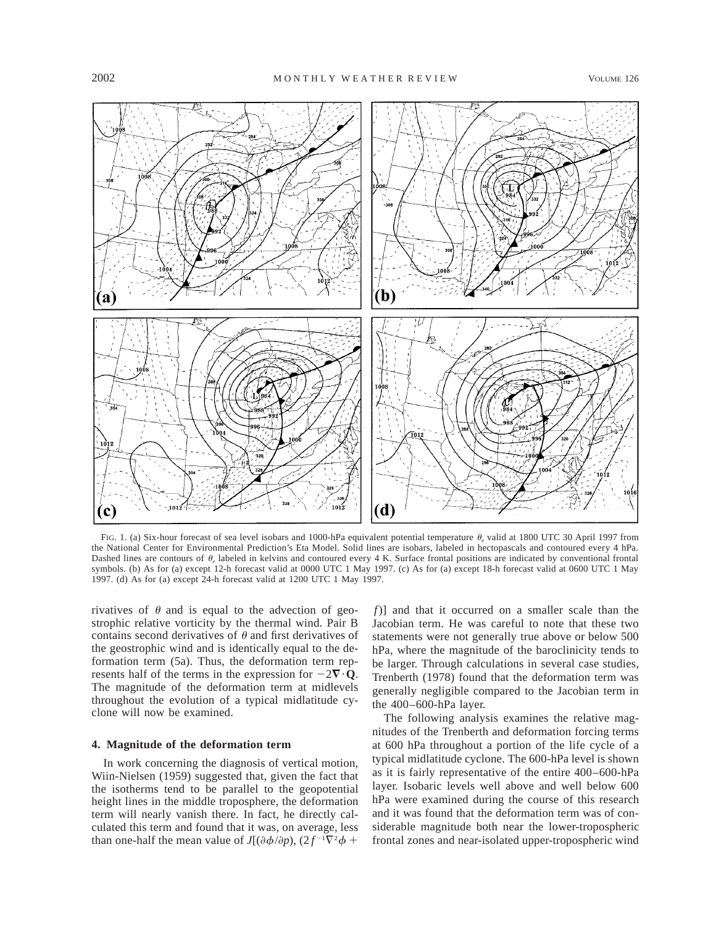

FIG. 1. (a) Six-hour forecast of sea level isobars and 1000-hPa equivalent potential temperature  $\theta$ , valid at 1800 UTC 30 April 1997 from the National Center for Environmental Prediction's Eta Model. Solid lines are isobars, labeled in hectopascals and contoured every 4 hPa. Dashed lines are contours of  $\theta_e$  labeled in kelvins and contoured every 4 K. Surface frontal positions are indicated by conventional frontal symbols. (b) As for (a) except 12-h forecast valid at 0000 UTC 1 May 1997. (c) As for (a) except 18-h forecast valid at 0600 UTC 1 May 1997. (d) As for (a) except 24-h forecast valid at 1200 UTC 1 May 1997.

rivatives of  $\theta$  and is equal to the advection of geostrophic relative vorticity by the thermal wind. Pair B contains second derivatives of  $\theta$  and first derivatives of the geostrophic wind and is identically equal to the deformation term (5a). Thus, the deformation term represents half of the terms in the expression for  $-2\nabla \cdot \mathbf{Q}$ . The magnitude of the deformation term at midlevels throughout the evolution of a typical midlatitude cyclone will now be examined.

## **4. Magnitude of the deformation term**

In work concerning the diagnosis of vertical motion, Wiin-Nielsen (1959) suggested that, given the fact that the isotherms tend to be parallel to the geopotential height lines in the middle troposphere, the deformation term will nearly vanish there. In fact, he directly calculated this term and found that it was, on average, less than one-half the mean value of  $J[(\partial \phi/\partial p), (2f^{-1}\nabla^2 \phi +$ 

*f*)] and that it occurred on a smaller scale than the Jacobian term. He was careful to note that these two statements were not generally true above or below 500 hPa, where the magnitude of the baroclinicity tends to be larger. Through calculations in several case studies, Trenberth (1978) found that the deformation term was generally negligible compared to the Jacobian term in the 400–600-hPa layer.

The following analysis examines the relative magnitudes of the Trenberth and deformation forcing terms at 600 hPa throughout a portion of the life cycle of a typical midlatitude cyclone. The 600-hPa level is shown as it is fairly representative of the entire 400–600-hPa layer. Isobaric levels well above and well below 600 hPa were examined during the course of this research and it was found that the deformation term was of considerable magnitude both near the lower-tropospheric frontal zones and near-isolated upper-tropospheric wind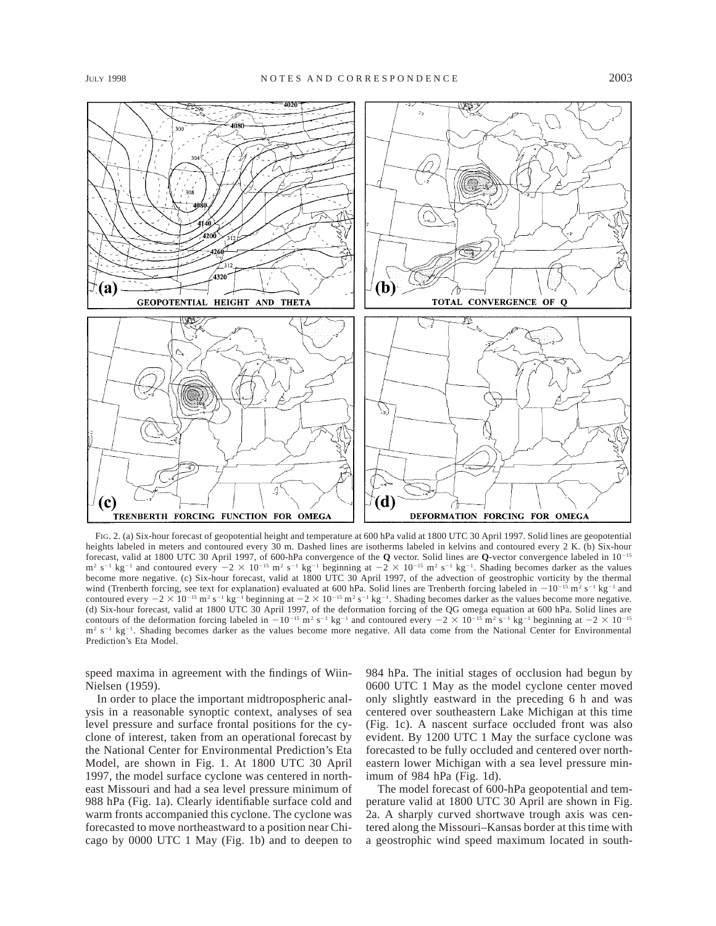

FIG. 2. (a) Six-hour forecast of geopotential height and temperature at 600 hPa valid at 1800 UTC 30 April 1997. Solid lines are geopotential heights labeled in meters and contoured every 30 m. Dashed lines are isotherms labeled in kelvins and contoured every 2 K. (b) Six-hour forecast, valid at 1800 UTC 30 April 1997, of 600-hPa convergence of the **Q** vector. Solid lines are **Q**-vector convergence labeled in 10<sup>-15</sup>  $m^2$  s<sup>-1</sup> kg<sup>-1</sup> and contoured every  $-2 \times 10^{-15}$  m<sup>2</sup> s<sup>-1</sup> kg<sup>-1</sup> beginning at  $-2 \times 10^{-15}$  m<sup>2</sup> s<sup>-1</sup> kg<sup>-1</sup>. Shading becomes darker as the values become more negative. (c) Six-hour forecast, valid at 1800 UTC 30 April 1997, of the advection of geostrophic vorticity by the thermal wind (Trenberth forcing, see text for explanation) evaluated at 600 hPa. Solid lines are Trenberth forcing labeled in  $-10^{-15}$  m<sup>2</sup> s<sup>-1</sup> kg<sup>-1</sup> and contoured every  $-2 \times 10^{-15}$  m<sup>2</sup> s<sup>-1</sup> kg<sup>-1</sup> beginning at  $-2 \times 10^{-15}$  m<sup>2</sup> s<sup>-1</sup> kg<sup>-1</sup>. Shading becomes darker as the values become more negative. (d) Six-hour forecast, valid at 1800 UTC 30 April 1997, of the deformation forcing of the QG omega equation at 600 hPa. Solid lines are contours of the deformation forcing labeled in  $-10^{-15}$  m<sup>2</sup> s<sup>-1</sup> kg<sup>-1</sup> and contoured every  $-2 \times 10^{-15}$  m<sup>2</sup> s<sup>-1</sup> kg<sup>-1</sup> beginning at  $-2 \times 10^{-15}$ m<sup>2</sup> s<sup>-1</sup> kg<sup>-1</sup>. Shading becomes darker as the values become more negative. All data come from the National Center for Environmental Prediction's Eta Model.

speed maxima in agreement with the findings of Wiin-Nielsen (1959).

In order to place the important midtropospheric analysis in a reasonable synoptic context, analyses of sea level pressure and surface frontal positions for the cyclone of interest, taken from an operational forecast by the National Center for Environmental Prediction's Eta Model, are shown in Fig. 1. At 1800 UTC 30 April 1997, the model surface cyclone was centered in northeast Missouri and had a sea level pressure minimum of 988 hPa (Fig. 1a). Clearly identifiable surface cold and warm fronts accompanied this cyclone. The cyclone was forecasted to move northeastward to a position near Chicago by 0000 UTC 1 May (Fig. 1b) and to deepen to 984 hPa. The initial stages of occlusion had begun by 0600 UTC 1 May as the model cyclone center moved only slightly eastward in the preceding 6 h and was centered over southeastern Lake Michigan at this time (Fig. 1c). A nascent surface occluded front was also evident. By 1200 UTC 1 May the surface cyclone was forecasted to be fully occluded and centered over northeastern lower Michigan with a sea level pressure minimum of 984 hPa (Fig. 1d).

The model forecast of 600-hPa geopotential and temperature valid at 1800 UTC 30 April are shown in Fig. 2a. A sharply curved shortwave trough axis was centered along the Missouri–Kansas border at this time with a geostrophic wind speed maximum located in south-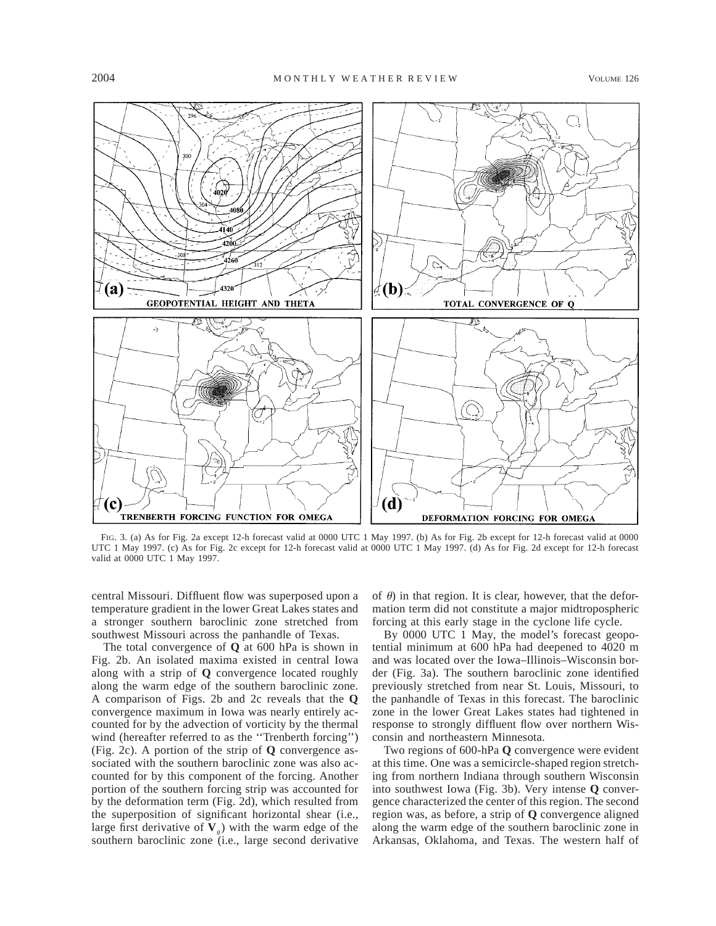

FIG. 3. (a) As for Fig. 2a except 12-h forecast valid at 0000 UTC 1 May 1997. (b) As for Fig. 2b except for 12-h forecast valid at 0000 UTC 1 May 1997. (c) As for Fig. 2c except for 12-h forecast valid at 0000 UTC 1 May 1997. (d) As for Fig. 2d except for 12-h forecast valid at 0000 UTC 1 May 1997.

central Missouri. Diffluent flow was superposed upon a temperature gradient in the lower Great Lakes states and a stronger southern baroclinic zone stretched from southwest Missouri across the panhandle of Texas.

The total convergence of **Q** at 600 hPa is shown in Fig. 2b. An isolated maxima existed in central Iowa along with a strip of **Q** convergence located roughly along the warm edge of the southern baroclinic zone. A comparison of Figs. 2b and 2c reveals that the **Q** convergence maximum in Iowa was nearly entirely accounted for by the advection of vorticity by the thermal wind (hereafter referred to as the ''Trenberth forcing'') (Fig. 2c). A portion of the strip of **Q** convergence associated with the southern baroclinic zone was also accounted for by this component of the forcing. Another portion of the southern forcing strip was accounted for by the deformation term (Fig. 2d), which resulted from the superposition of significant horizontal shear (i.e., large first derivative of  $V_g$ ) with the warm edge of the southern baroclinic zone (i.e., large second derivative

of  $\theta$ ) in that region. It is clear, however, that the deformation term did not constitute a major midtropospheric forcing at this early stage in the cyclone life cycle.

By 0000 UTC 1 May, the model's forecast geopotential minimum at 600 hPa had deepened to 4020 m and was located over the Iowa–Illinois–Wisconsin border (Fig. 3a). The southern baroclinic zone identified previously stretched from near St. Louis, Missouri, to the panhandle of Texas in this forecast. The baroclinic zone in the lower Great Lakes states had tightened in response to strongly diffluent flow over northern Wisconsin and northeastern Minnesota.

Two regions of 600-hPa **Q** convergence were evident at this time. One was a semicircle-shaped region stretching from northern Indiana through southern Wisconsin into southwest Iowa (Fig. 3b). Very intense **Q** convergence characterized the center of this region. The second region was, as before, a strip of **Q** convergence aligned along the warm edge of the southern baroclinic zone in Arkansas, Oklahoma, and Texas. The western half of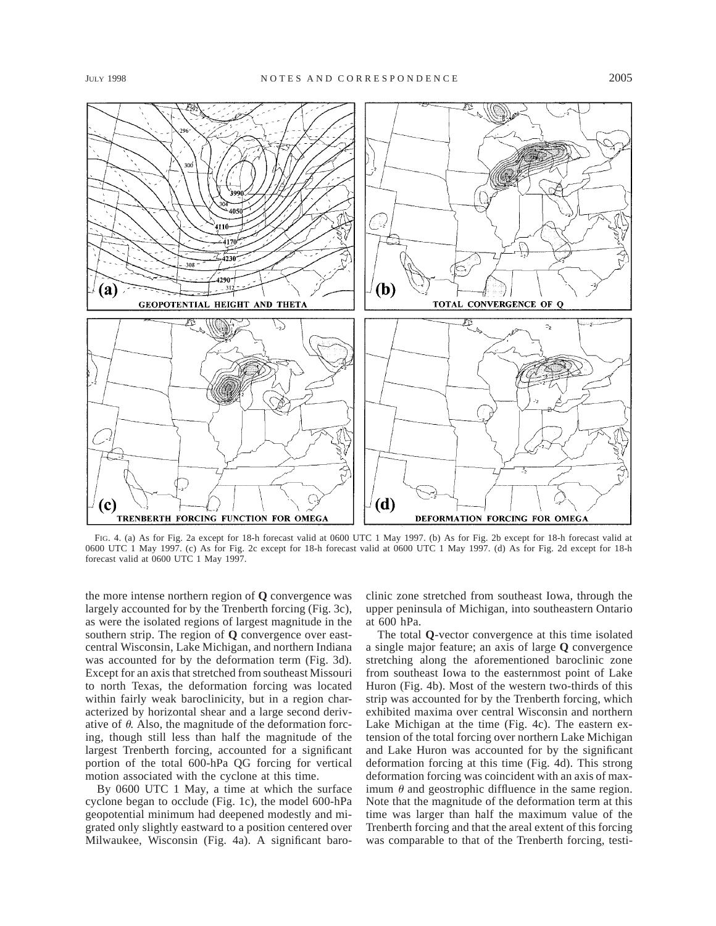

FIG. 4. (a) As for Fig. 2a except for 18-h forecast valid at 0600 UTC 1 May 1997. (b) As for Fig. 2b except for 18-h forecast valid at 0600 UTC 1 May 1997. (c) As for Fig. 2c except for 18-h forecast valid at 0600 UTC 1 May 1997. (d) As for Fig. 2d except for 18-h forecast valid at 0600 UTC 1 May 1997.

the more intense northern region of **Q** convergence was largely accounted for by the Trenberth forcing (Fig. 3c), as were the isolated regions of largest magnitude in the southern strip. The region of **Q** convergence over eastcentral Wisconsin, Lake Michigan, and northern Indiana was accounted for by the deformation term (Fig. 3d). Except for an axis that stretched from southeast Missouri to north Texas, the deformation forcing was located within fairly weak baroclinicity, but in a region characterized by horizontal shear and a large second derivative of  $\theta$ . Also, the magnitude of the deformation forcing, though still less than half the magnitude of the largest Trenberth forcing, accounted for a significant portion of the total 600-hPa QG forcing for vertical motion associated with the cyclone at this time.

By 0600 UTC 1 May, a time at which the surface cyclone began to occlude (Fig. 1c), the model 600-hPa geopotential minimum had deepened modestly and migrated only slightly eastward to a position centered over Milwaukee, Wisconsin (Fig. 4a). A significant baroclinic zone stretched from southeast Iowa, through the upper peninsula of Michigan, into southeastern Ontario at 600 hPa.

The total **Q**-vector convergence at this time isolated a single major feature; an axis of large **Q** convergence stretching along the aforementioned baroclinic zone from southeast Iowa to the easternmost point of Lake Huron (Fig. 4b). Most of the western two-thirds of this strip was accounted for by the Trenberth forcing, which exhibited maxima over central Wisconsin and northern Lake Michigan at the time (Fig. 4c). The eastern extension of the total forcing over northern Lake Michigan and Lake Huron was accounted for by the significant deformation forcing at this time (Fig. 4d). This strong deformation forcing was coincident with an axis of maximum  $\theta$  and geostrophic diffluence in the same region. Note that the magnitude of the deformation term at this time was larger than half the maximum value of the Trenberth forcing and that the areal extent of this forcing was comparable to that of the Trenberth forcing, testi-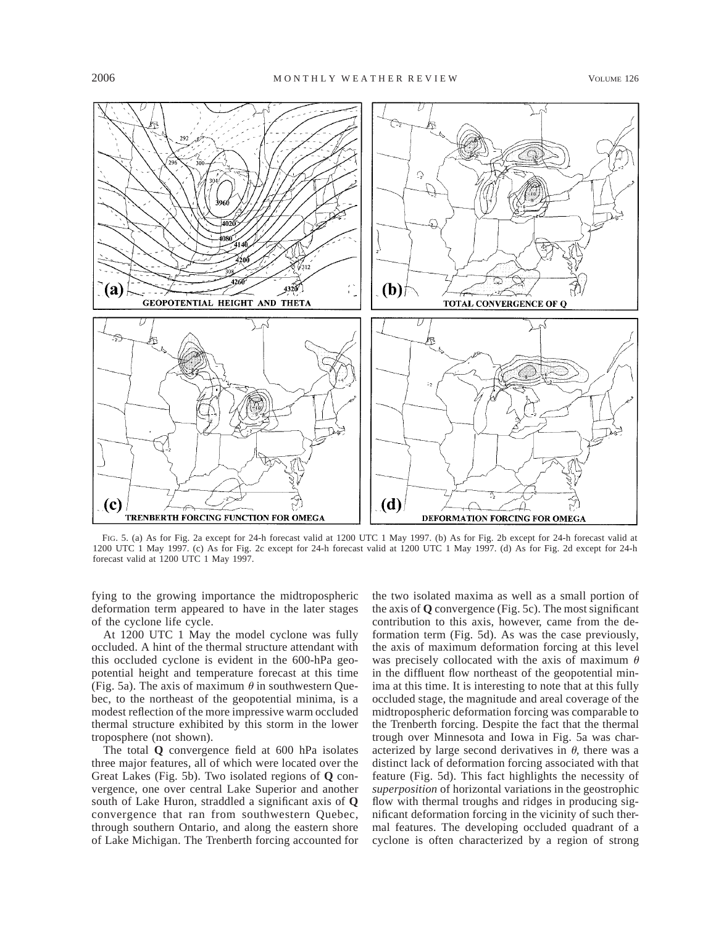

FIG. 5. (a) As for Fig. 2a except for 24-h forecast valid at 1200 UTC 1 May 1997. (b) As for Fig. 2b except for 24-h forecast valid at 1200 UTC 1 May 1997. (c) As for Fig. 2c except for 24-h forecast valid at 1200 UTC 1 May 1997. (d) As for Fig. 2d except for 24-h forecast valid at 1200 UTC 1 May 1997.

fying to the growing importance the midtropospheric deformation term appeared to have in the later stages of the cyclone life cycle.

At 1200 UTC 1 May the model cyclone was fully occluded. A hint of the thermal structure attendant with this occluded cyclone is evident in the 600-hPa geopotential height and temperature forecast at this time (Fig. 5a). The axis of maximum  $\theta$  in southwestern Quebec, to the northeast of the geopotential minima, is a modest reflection of the more impressive warm occluded thermal structure exhibited by this storm in the lower troposphere (not shown).

The total **Q** convergence field at 600 hPa isolates three major features, all of which were located over the Great Lakes (Fig. 5b). Two isolated regions of **Q** convergence, one over central Lake Superior and another south of Lake Huron, straddled a significant axis of **Q** convergence that ran from southwestern Quebec, through southern Ontario, and along the eastern shore of Lake Michigan. The Trenberth forcing accounted for

the two isolated maxima as well as a small portion of the axis of **Q** convergence (Fig. 5c). The most significant contribution to this axis, however, came from the deformation term (Fig. 5d). As was the case previously, the axis of maximum deformation forcing at this level was precisely collocated with the axis of maximum  $\theta$ in the diffluent flow northeast of the geopotential minima at this time. It is interesting to note that at this fully occluded stage, the magnitude and areal coverage of the midtropospheric deformation forcing was comparable to the Trenberth forcing. Despite the fact that the thermal trough over Minnesota and Iowa in Fig. 5a was characterized by large second derivatives in  $\theta$ , there was a distinct lack of deformation forcing associated with that feature (Fig. 5d). This fact highlights the necessity of *superposition* of horizontal variations in the geostrophic flow with thermal troughs and ridges in producing significant deformation forcing in the vicinity of such thermal features. The developing occluded quadrant of a cyclone is often characterized by a region of strong